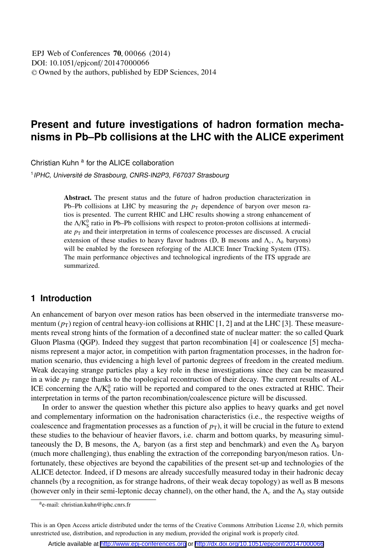# **Present and future investigations of hadron formation mechanisms in Pb–Pb collisions at the LHC with the ALICE experiment**

Christian Kuhn<sup>a</sup> for the ALICE collaboration

<sup>1</sup> IPHC, Université de Strasbourg, CNRS-IN2P3, F67037 Strasbourg

Abstract. The present status and the future of hadron production characterization in Pb–Pb collisions at LHC by measuring the  $p_T$  dependence of baryon over meson ratios is presented. The current RHIC and LHC results showing a strong enhancement of the  $\Delta/K_S^0$  ratio in Pb–Pb collisions with respect to proton-proton collisions at intermediate  $p_T$  and their interpretation in terms of coalescence processes are discussed. A crucial extension of these studies to heavy flavor hadrons (D, B mesons and  $\Lambda_c$ ,  $\Lambda_b$  baryons) will be enabled by the foreseen reforging of the ALICE Inner Tracking System (ITS). The main performance objectives and technological ingredients of the ITS upgrade are summarized.

## **1 Introduction**

An enhancement of baryon over meson ratios has been observed in the intermediate transverse momentum  $(p_T)$  region of central heavy-ion collisions at RHIC [1, 2] and at the LHC [3]. These measurements reveal strong hints of the formation of a deconfined state of nuclear matter: the so called Quark Gluon Plasma (QGP). Indeed they suggest that parton recombination [4] or coalescence [5] mechanisms represent a major actor, in competition with parton fragmentation processes, in the hadron formation scenario, thus evidencing a high level of partonic degrees of freedom in the created medium. Weak decaying strange particles play a key role in these investigations since they can be measured in a wide  $p<sub>T</sub>$  range thanks to the topological recontruction of their decay. The current results of AL-ICE concerning the  $\Lambda/K_S^0$  ratio will be reported and compared to the ones extracted at RHIC. Their interpretation in terms of the parton recombination/coalescence picture will be discussed.

In order to answer the question whether this picture also applies to heavy quarks and get novel and complementary information on the hadronisation characteristics (i.e., the respective weigths of coalescence and fragmentation processes as a function of  $p<sub>T</sub>$ ), it will be crucial in the future to extend these studies to the behaviour of heavier flavors, i.e. charm and bottom quarks, by measuring simultaneously the D, B mesons, the  $\Lambda_c$  baryon (as a first step and benchmark) and even the  $\Lambda_b$  baryon (much more challenging), thus enabling the extraction of the correponding baryon/meson ratios. Unfortunately, these objectives are beyond the capabilities of the present set-up and technologies of the ALICE detector. Indeed, if D mesons are already succesfully measured today in their hadronic decay channels (by a recognition, as for strange hadrons, of their weak decay topology) as well as B mesons (however only in their semi-leptonic decay channel), on the other hand, the  $\Lambda_c$  and the  $\Lambda_b$  stay outside

ae-mail: christian.kuhn@iphc.cnrs.fr

This is an Open Access article distributed under the terms of the Creative Commons Attribution License 2.0, which permits unrestricted use, distribution, and reproduction in any medium, provided the original work is properly cited.

Article available at <http://www.epj-conferences.org> or <http://dx.doi.org/10.1051/epjconf/20147000066>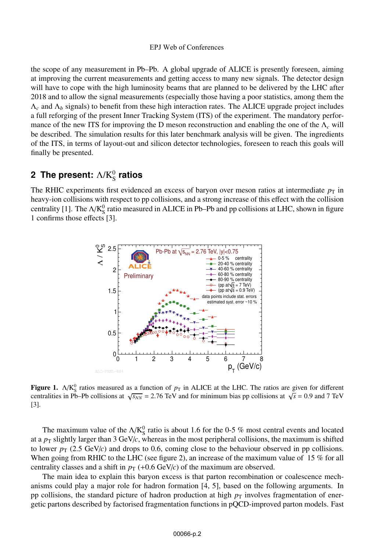the scope of any measurement in Pb–Pb. A global upgrade of ALICE is presently foreseen, aiming at improving the current measurements and getting access to many new signals. The detector design will have to cope with the high luminosity beams that are planned to be delivered by the LHC after 2018 and to allow the signal measurements (especially those having a poor statistics, among them the  $\Lambda_c$  and  $\Lambda_b$  signals) to benefit from these high interaction rates. The ALICE upgrade project includes a full reforging of the present Inner Tracking System (ITS) of the experiment. The mandatory performance of the new ITS for improving the D meson reconstruction and enabling the one of the Λ*<sup>c</sup>* will be described. The simulation results for this later benchmark analysis will be given. The ingredients of the ITS, in terms of layout-out and silicon detector technologies, foreseen to reach this goals will finally be presented.

# **2 The present:**  $\Lambda$ /K $_{\rm S}^0$  ratios

The RHIC experiments first evidenced an excess of baryon over meson ratios at intermediate  $p<sub>T</sub>$  in heavy-ion collisions with respect to pp collisions, and a strong increase of this effect with the collision centrality [1]. The  $\Delta/K_S^0$  ratio measured in ALICE in Pb–Pb and pp collisions at LHC, shown in figure 1 confirms those effects [3].



**Figure 1.**  $\Lambda/K_5^0$  ratios measured as a function of  $p_T$  in ALICE at the LHC. The ratios are given for different contralities in Ph Ph collisions at  $\Lambda$ <sub>c</sub> = 0.0 and 7.7eV centralities in Pb–Pb collisions at  $\sqrt{s_{NN}}$  = 2.76 TeV and for minimum bias pp collisions at  $\sqrt{s}$  = 0.9 and 7 TeV [3].

The maximum value of the  $\Delta/K_S^0$  ratio is about 1.6 for the 0-5 % most central events and located at a  $p<sub>T</sub>$  slightly larger than 3 GeV/*c*, whereas in the most peripheral collisions, the maximum is shifted to lower  $p_T$  (2.5 GeV/ $c$ ) and drops to 0.6, coming close to the behaviour observed in pp collisions. When going from RHIC to the LHC (see figure 2), an increase of the maximum value of 15 % for all centrality classes and a shift in  $p_T$  (+0.6 GeV/*c*) of the maximum are observed.

The main idea to explain this baryon excess is that parton recombination or coalescence mechanisms could play a major role for hadron formation [4, 5], based on the following arguments. In pp collisions, the standard picture of hadron production at high  $p<sub>T</sub>$  involves fragmentation of energetic partons described by factorised fragmentation functions in pQCD-improved parton models. Fast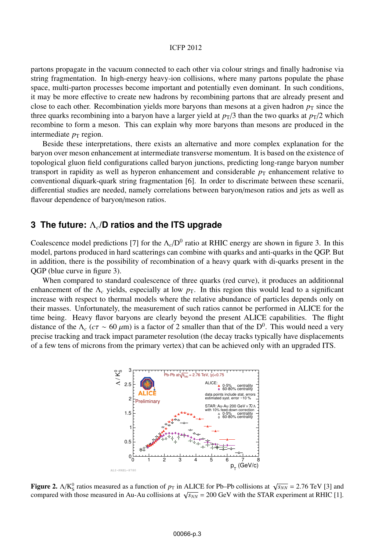### ICFP 2012

partons propagate in the vacuum connected to each other via colour strings and finally hadronise via string fragmentation. In high-energy heavy-ion collisions, where many partons populate the phase space, multi-parton processes become important and potentially even dominant. In such conditions, it may be more effective to create new hadrons by recombining partons that are already present and close to each other. Recombination yields more baryons than mesons at a given hadron  $p<sub>T</sub>$  since the three quarks recombining into a baryon have a larger yield at  $p<sub>T</sub>/3$  than the two quarks at  $p<sub>T</sub>/2$  which recombine to form a meson. This can explain why more baryons than mesons are produced in the intermediate  $p<sub>T</sub>$  region.

Beside these interpretations, there exists an alternative and more complex explanation for the baryon over meson enhancement at intermediate transverse momentum. It is based on the existence of topological gluon field configurations called baryon junctions, predicting long-range baryon number transport in rapidity as well as hyperon enhancement and considerable  $p<sub>T</sub>$  enhancement relative to conventional diquark-quark string fragmentation [6]. In order to discrimate between these scenarii, differential studies are needed, namely correlations between baryon/meson ratios and jets as well as flavour dependence of baryon/meson ratios.

## **3 The future:** Λ*c***/D ratios and the ITS upgrade**

Coalescence model predictions [7] for the  $\Lambda_c/D^0$  ratio at RHIC energy are shown in figure 3. In this model, partons produced in hard scatterings can combine with quarks and anti-quarks in the QGP. But in addition, there is the possibility of recombination of a heavy quark with di-quarks present in the QGP (blue curve in figure 3).

When compared to standard coalescence of three quarks (red curve), it produces an additionnal enhancement of the  $\Lambda_c$  yields, especially at low  $p_T$ . In this region this would lead to a significant increase with respect to thermal models where the relative abundance of particles depends only on their masses. Unfortunately, the measurement of such ratios cannot be performed in ALICE for the time being. Heavy flavor baryons are clearly beyond the present ALICE capabilities. The flight distance of the  $\Lambda_c$  ( $c\tau \sim 60 \,\mu\text{m}$ ) is a factor of 2 smaller than that of the D<sup>0</sup>. This would need a very precise tracking and track impact parameter resolution (the decay tracks typically have displacements of a few tens of microns from the primary vertex) that can be achieved only with an upgraded ITS.



**Figure 2.**  $\Delta/K_0^0$  ratios measured as a function of  $p_T$  in ALICE for Pb–Pb collisions at  $\sqrt{s_{NN}}$  = 2.76 TeV [3] and compared with those measured in  $\Delta u$  collisions at  $\sqrt{s_{NN}}$  = 200 GeV with the STAR experiment at P compared with those measured in Au-Au collisions at  $\sqrt{s_{NN}}$  = 200 GeV with the STAR experiment at RHIC [1].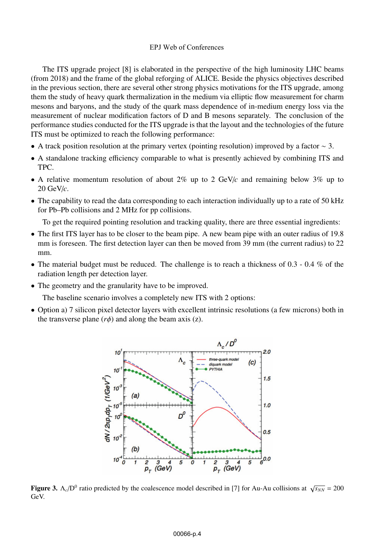The ITS upgrade project [8] is elaborated in the perspective of the high luminosity LHC beams (from 2018) and the frame of the global reforging of ALICE. Beside the physics objectives described in the previous section, there are several other strong physics motivations for the ITS upgrade, among them the study of heavy quark thermalization in the medium via elliptic flow measurement for charm mesons and baryons, and the study of the quark mass dependence of in-medium energy loss via the measurement of nuclear modification factors of D and B mesons separately. The conclusion of the performance studies conducted for the ITS upgrade is that the layout and the technologies of the future ITS must be optimized to reach the following performance:

- A track position resolution at the primary vertex (pointing resolution) improved by a factor  $\sim$  3.
- A standalone tracking efficiency comparable to what is presently achieved by combining ITS and TPC.
- A relative momentum resolution of about 2% up to 2 GeV/*c* and remaining below 3% up to 20 GeV/*c*.
- The capability to read the data corresponding to each interaction individually up to a rate of 50 kHz for Pb–Pb collisions and 2 MHz for pp collisions.

To get the required pointing resolution and tracking quality, there are three essential ingredients:

- The first ITS layer has to be closer to the beam pipe. A new beam pipe with an outer radius of 19.8 mm is foreseen. The first detection layer can then be moved from 39 mm (the current radius) to 22 mm.
- The material budget must be reduced. The challenge is to reach a thickness of  $0.3 0.4$  % of the radiation length per detection layer.
- The geometry and the granularity have to be improved.

The baseline scenario involves a completely new ITS with 2 options:

• Option a) 7 silicon pixel detector layers with excellent intrinsic resolutions (a few microns) both in the transverse plane  $(r\phi)$  and along the beam axis (z).



**Figure 3.**  $\Lambda_c/D^0$  ratio predicted by the coalescence model described in [7] for Au-Au collisions at  $\sqrt{s_{NN}} = 200$ GeV.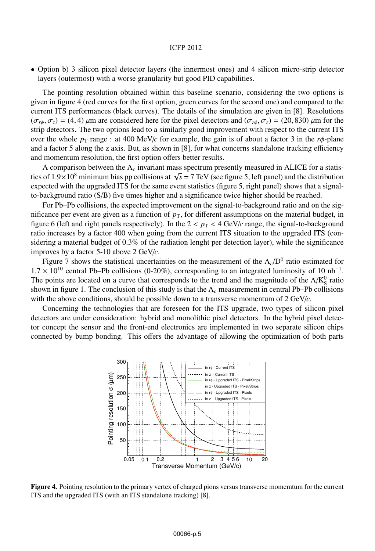#### ICFP 2012

• Option b) 3 silicon pixel detector layers (the innermost ones) and 4 silicon micro-strip detector layers (outermost) with a worse granularity but good PID capabilities.

The pointing resolution obtained within this baseline scenario, considering the two options is given in figure 4 (red curves for the first option, green curves for the second one) and compared to the current ITS performances (black curves). The details of the simulation are given in [8]. Resolutions  $(\sigma_{r\phi}, \sigma_z) = (4, 4)$  μm are considered here for the pixel detectors and  $(\sigma_{r\phi}, \sigma_z) = (20, 830)$  μm for the strip detectors. The two options lead to a similarly good improvement with respect to the current ITS over the whole  $p_T$  range : at 400 MeV/*c* for example, the gain is of about a factor 3 in the  $r\phi$ -plane and a factor 5 along the z axis. But, as shown in [8], for what concerns standalone tracking efficiency and momentum resolution, the first option offers better results.

A comparison between the Λ*<sup>c</sup>* invariant mass spectrum presently measured in ALICE for a statistics of 1.9×10<sup>8</sup> minimum bias pp collisions at  $\sqrt{s}$  = 7 TeV (see figure 5, left panel) and the distribution expected with the upgraded ITS for the same event statistics (figure 5, right panel) shows that a signalto-background ratio (S/B) five times higher and a significance twice higher should be reached.

For Pb–Pb collisions, the expected improvement on the signal-to-background ratio and on the significance per event are given as a function of  $p<sub>T</sub>$ , for different assumptions on the material budget, in figure 6 (left and right panels respectively). In the  $2 < p<sub>T</sub> < 4$  GeV/*c* range, the signal-to-background ratio increases by a factor 400 when going from the current ITS situation to the upgraded ITS (considering a material budget of 0.3% of the radiation lenght per detection layer), while the significance improves by a factor 5-10 above 2 GeV/*c*.

Figure 7 shows the statistical uncertainties on the measurement of the  $\Lambda_c/D^0$  ratio estimated for  $1.7 \times 10^{10}$  central Pb–Pb collisions (0-20%), corresponding to an integrated luminosity of 10 nb<sup>-1</sup>. The points are located on a curve that corresponds to the trend and the magnitude of the  $\Lambda/K_S^0$  ratio shown in figure 1. The conclusion of this study is that the  $\Lambda_c$  measurement in central Pb–Pb collisions with the above conditions, should be possible down to a transverse momentum of 2 GeV/*c*.

Concerning the technologies that are foreseen for the ITS upgrade, two types of silicon pixel detectors are under consideration: hybrid and monolithic pixel detectors. In the hybrid pixel detector concept the sensor and the front-end electronics are implemented in two separate silicon chips connected by bump bonding. This offers the advantage of allowing the optimization of both parts



Figure 4. Pointing resolution to the primary vertex of charged pions versus transverse momemtum for the current ITS and the upgraded ITS (with an ITS standalone tracking) [8].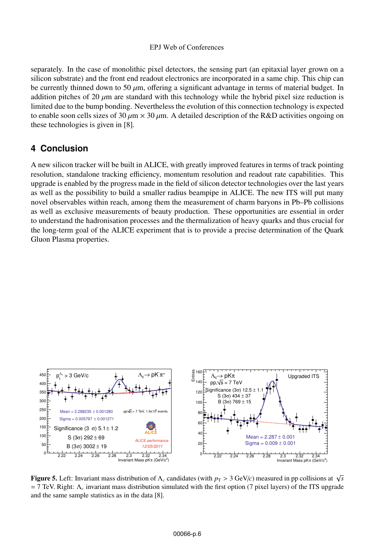separately. In the case of monolithic pixel detectors, the sensing part (an epitaxial layer grown on a silicon substrate) and the front end readout electronics are incorporated in a same chip. This chip can be currently thinned down to 50  $\mu$ m, offering a significant advantage in terms of material budget. In addition pitches of 20  $\mu$ m are standard with this technology while the hybrid pixel size reduction is limited due to the bump bonding. Nevertheless the evolution of this connection technology is expected to enable soon cells sizes of 30  $\mu$ m × 30  $\mu$ m. A detailed description of the R&D activities ongoing on these technologies is given in [8].

## **4 Conclusion**

A new silicon tracker will be built in ALICE, with greatly improved features in terms of track pointing resolution, standalone tracking efficiency, momentum resolution and readout rate capabilities. This upgrade is enabled by the progress made in the field of silicon detector technologies over the last years as well as the possibility to build a smaller radius beampipe in ALICE. The new ITS will put many novel observables within reach, among them the measurement of charm baryons in Pb–Pb collisions as well as exclusive measurements of beauty production. These opportunities are essential in order to understand the hadronisation processes and the thermalization of heavy quarks and thus crucial for the long-term goal of the ALICE experiment that is to provide a precise determination of the Quark Gluon Plasma properties.



Figure 5. Left: Invariant mass distribution of  $\Lambda_c$  candidates (with  $p_T > 3$  GeV/*c*) measured in pp collisions at  $\sqrt{s}$ = 7 TeV. Right: Λ*<sup>c</sup>* invariant mass distribution simulated with the first option (7 pixel layers) of the ITS upgrade and the same sample statistics as in the data [8].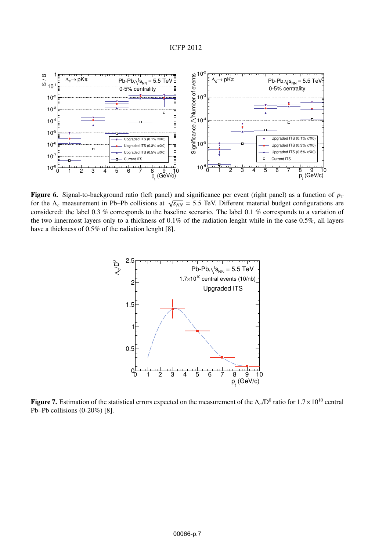

Figure 6. Signal-to-background ratio (left panel) and significance per event (right panel) as a function of  $p_T$ for the  $\Lambda_c$  measurement in Pb–Pb collisions at  $\sqrt{s_{NN}}$  = 5.5 TeV. Different material budget configurations are considered: the label 0.3 % corresponds to the baseline scenario. The label 0.1 % corresponds to a variation of the two innermost layers only to a thickness of 0.1% of the radiation lenght while in the case 0.5%, all layers have a thickness of 0.5% of the radiation lenght [8].



Figure 7. Estimation of the statistical errors expected on the measurement of the <sup>Λ</sup>*c*/D0 ratio for 1.7×10<sup>10</sup> central Pb–Pb collisions (0-20%) [8].